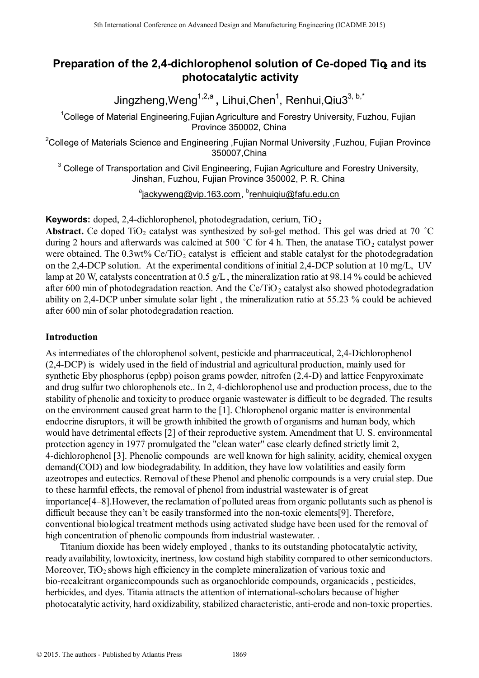# **Preparation of the 2,4-dichlorophenol solution of Ce-doped Tio and its photocatalytic activity**

Jingzheng,Weng<sup>1,2,a</sup>, Lihui,Chen<sup>1</sup>, Renhui,Qiu3<sup>3, b,\*</sup>

<sup>1</sup>College of Material Engineering, Fujian Agriculture and Forestry University, Fuzhou, Fujian Province 350002, China

<sup>2</sup>College of Materials Science and Engineering , Fujian Normal University , Fuzhou, Fujian Province 350007,China

 $3$  College of Transportation and Civil Engineering, Fujian Agriculture and Forestry University, Jinshan, Fuzhou, Fujian Province 350002, P. R. China

<sup>a</sup>jackyweng@vip.163.com, <sup>b</sup>renhuiqiu@fafu.edu.cn

**Keywords:** doped, 2,4-dichlorophenol, photodegradation, cerium, TiO<sub>2</sub>

**Abstract.** Ce doped TiO<sub>2</sub> catalyst was synthesized by sol-gel method. This gel was dried at 70  $^{\circ}$ C during 2 hours and afterwards was calcined at 500  $^{\circ}$ C for 4 h. Then, the anatase TiO<sub>2</sub> catalyst power were obtained. The  $0.3wt\%$  Ce/TiO<sub>2</sub> catalyst is efficient and stable catalyst for the photodegradation on the 2,4-DCP solution. At the experimental conditions of initial 2,4-DCP solution at 10 mg/L, UV lamp at 20 W, catalysts concentration at 0.5 g/L, the mineralization ratio at 98.14 % could be achieved after 600 min of photodegradation reaction. And the Ce/TiO<sub>2</sub> catalyst also showed photodegradation ability on 2,4-DCP unber simulate solar light , the mineralization ratio at 55.23 % could be achieved after 600 min of solar photodegradation reaction.

### **Introduction**

As intermediates of the chlorophenol solvent, pesticide and pharmaceutical, 2,4-Dichlorophenol (2,4-DCP) is widely used in the field of industrial and agricultural production, mainly used for synthetic Eby phosphorus (epbp) poison grams powder, nitrofen (2,4-D) and lattice Fenpyroximate and drug sulfur two chlorophenols etc.. In 2, 4-dichlorophenol use and production process, due to the stability of phenolic and toxicity to produce organic wastewater is difficult to be degraded. The results on the environment caused great harm to the [1]. Chlorophenol organic matter is environmental endocrine disruptors, it will be growth inhibited the growth of organisms and human body, which would have detrimental effects [2] of their reproductive system. Amendment that U. S. environmental protection agency in 1977 promulgated the "clean water" case clearly defined strictly limit 2, 4-dichlorophenol [3]. Phenolic compounds are well known for high salinity, acidity, chemical oxygen demand(COD) and low biodegradability. In addition, they have low volatilities and easily form azeotropes and eutectics. Removal of these Phenol and phenolic compounds is a very cruial step. Due to these harmful effects, the removal of phenol from industrial wastewater is of great importance[4–8].However, the reclamation of polluted areas from organic pollutants such as phenol is difficult because they can't be easily transformed into the non-toxic elements[9]. Therefore, conventional biological treatment methods using activated sludge have been used for the removal of high concentration of phenolic compounds from industrial wastewater. <sup>516</sup> Learningthare an Advanced Design and Manufacturing Engineering (CADME 2015)<br> **Dropherson** Concellar Conference of Manufacturing Conference on The authorities and Foresty University, Fuzhou<br>
College of Materials Scie

Titanium dioxide has been widely employed , thanks to its outstanding photocatalytic activity, ready availability, lowtoxicity, inertness, low costand high stability compared to other semiconductors. Moreover,  $TiO<sub>2</sub>$  shows high efficiency in the complete mineralization of various toxic and bio-recalcitrant organiccompounds such as organochloride compounds, organicacids , pesticides, herbicides, and dyes. Titania attracts the attention of international-scholars because of higher photocatalytic activity, hard oxidizability, stabilized characteristic, anti-erode and non-toxic properties.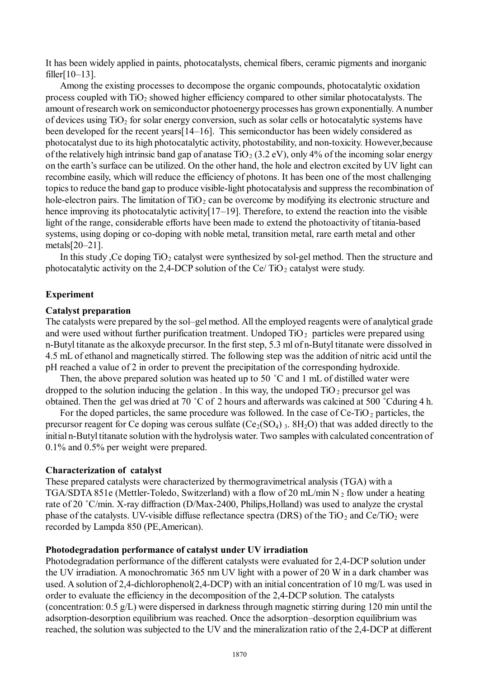It has been widely applied in paints, photocatalysts, chemical fibers, ceramic pigments and inorganic filler[10–13].

Among the existing processes to decompose the organic compounds, photocatalytic oxidation process coupled with  $TiO<sub>2</sub>$  showed higher efficiency compared to other similar photocatalysts. The amount ofresearch work on semiconductor photoenergy processes has grown exponentially. Anumber of devices using  $TiO<sub>2</sub>$  for solar energy conversion, such as solar cells or hotocatalytic systems have been developed for the recent years[14–16]. This semiconductor has been widely considered as photocatalyst due to its high photocatalytic activity, photostability, and non-toxicity. However,because of the relatively high intrinsic band gap of anatase  $TiO<sub>2</sub> (3.2 eV)$ , only 4% of the incoming solar energy on the earth's surface can be utilized. On the other hand, the hole and electron excited by UV light can recombine easily, which will reduce the efficiency of photons. It has been one of the most challenging topicsto reduce the band gap to produce visible-light photocatalysis and suppress the recombination of hole-electron pairs. The limitation of  $TiO<sub>2</sub>$  can be overcome by modifying its electronic structure and hence improving its photocatalytic activity[17–19]. Therefore, to extend the reaction into the visible light of the range, considerable efforts have been made to extend the photoactivity of titania-based systems, using doping or co-doping with noble metal, transition metal, rare earth metal and other metals[20–21].

In this study , Ce doping  $TiO<sub>2</sub>$  catalyst were synthesized by sol-gel method. Then the structure and photocatalytic activity on the 2,4-DCP solution of the Ce/ $TiO<sub>2</sub>$  catalyst were study.

### **Experiment**

#### **Catalyst preparation**

The catalysts were prepared by the sol–gel method. All the employed reagents were of analytical grade and were used without further purification treatment. Undoped  $TiO<sub>2</sub>$  particles were prepared using n-Butyl titanate as the alkoxyde precursor. In the first step, 5.3 ml of n-Butyl titanate were dissolved in 4.5 mL of ethanol and magnetically stirred. The following step was the addition of nitric acid until the pH reached a value of 2 in order to prevent the precipitation of the corresponding hydroxide.

Then, the above prepared solution was heated up to 50 °C and 1 mL of distilled water were dropped to the solution inducing the gelation. In this way, the undoped  $TiO<sub>2</sub>$  precursor gel was obtained. Then the gel was dried at 70 ˚C of 2 hours and afterwards was calcined at 500 ˚Cduring 4 h.

For the doped particles, the same procedure was followed. In the case of  $Ce-TiO<sub>2</sub>$  particles, the precursor reagent for Ce doping was cerous sulfate  $(Ce_2(SO_4)$ ,  $8H_2O)$  that was added directly to the initial n-Butyl titanate solution with the hydrolysis water. Two samples with calculated concentration of 0.1% and 0.5% per weight were prepared.

#### **Characterization of catalyst**

These prepared catalysts were characterized by thermogravimetrical analysis (TGA) with a TGA/SDTA 851e (Mettler-Toledo, Switzerland) with a flow of 20 mL/min N<sub>2</sub> flow under a heating rate of 20 ˚C/min. X-ray diffraction (D/Max-2400, Philips,Holland) was used to analyze the crystal phase of the catalysts. UV-visible diffuse reflectance spectra (DRS) of the TiO<sub>2</sub> and Ce/TiO<sub>2</sub> were recorded by Lampda 850 (PE,American).

#### **Photodegradation performance of catalyst under UV irradiation**

Photodegradation performance of the different catalysts were evaluated for 2,4-DCP solution under the UV irradiation. A monochromatic 365 nm UV light with a power of 20 W in a dark chamber was used. A solution of 2,4-dichlorophenol(2,4-DCP) with an initial concentration of 10 mg/L was used in order to evaluate the efficiency in the decomposition of the 2,4-DCP solution. The catalysts (concentration: 0.5 g/L) were dispersed in darkness through magnetic stirring during 120 min until the adsorption-desorption equilibrium was reached. Once the adsorption–desorption equilibrium was reached, the solution was subjected to the UV and the mineralization ratio of the 2,4-DCP at different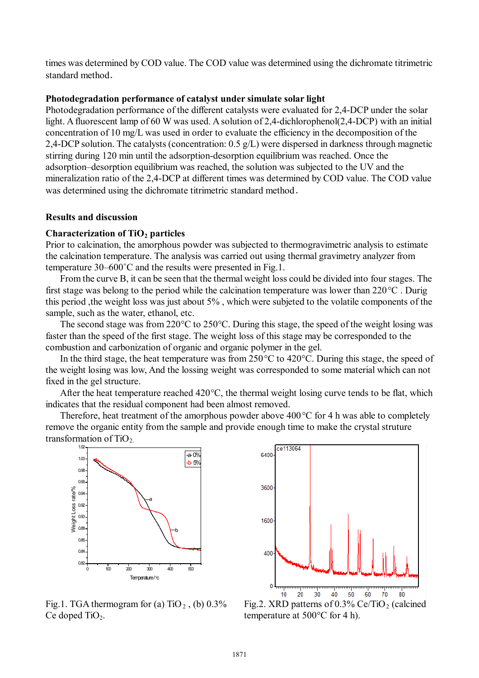times was determined by COD value. The COD value was determined using the dichromate titrimetric standard method.

#### **Photodegradation performance of catalyst under simulate solar light**

Photodegradation performance of the different catalysts were evaluated for 2,4-DCP under the solar light. A fluorescent lamp of 60 W was used. A solution of 2,4-dichlorophenol(2,4-DCP) with an initial concentration of 10 mg/L was used in order to evaluate the efficiency in the decomposition of the 2,4-DCP solution. The catalysts (concentration: 0.5 g/L) were dispersed in darkness through magnetic stirring during 120 min until the adsorption-desorption equilibrium was reached. Once the adsorption–desorption equilibrium was reached, the solution was subjected to the UV and the mineralization ratio of the 2,4-DCP at different times was determined by COD value. The COD value was determined using the dichromate titrimetric standard method.

#### **Results and discussion**

#### **Characterization of TiO2 particles**

Prior to calcination, the amorphous powder was subjected to thermogravimetric analysis to estimate the calcination temperature. The analysis was carried out using thermal gravimetry analyzer from temperature 30–600˚C and the results were presented in Fig.1.

From the curve B, it can be seen that the thermal weight loss could be divided into four stages. The first stage was belong to the period while the calcination temperature was lower than 220°C . Durig this period ,the weight loss was just about 5% , which were subjeted to the volatile components of the sample, such as the water, ethanol, etc.

The second stage was from 220°C to 250°C. During this stage, the speed of the weight losing was faster than the speed of the first stage. The weight loss of this stage may be corresponded to the combustion and carbonization of organic and organic polymer in the gel.

In the third stage, the heat temperature was from 250°C to 420°C. During this stage, the speed of the weight losing was low, And the lossing weight was corresponded to some material which can not fixed in the gel structure.

After the heat temperature reached 420°C, the thermal weight losing curve tends to be flat, which indicates that the residual component had been almost removed.

Therefore, heat treatment of the amorphous powder above 400°C for 4 h was able to completely remove the organic entity from the sample and provide enough time to make the crystal struture transformation of  $TiO<sub>2</sub>$ .



Fig.1. TGA thermogram for (a)  $TiO<sub>2</sub>$ , (b) 0.3% Ce doped  $TiO<sub>2</sub>$ .



Fig.2. XRD patterns of  $0.3\%$  Ce/TiO<sub>2</sub> (calcined temperature at 500°C for 4 h).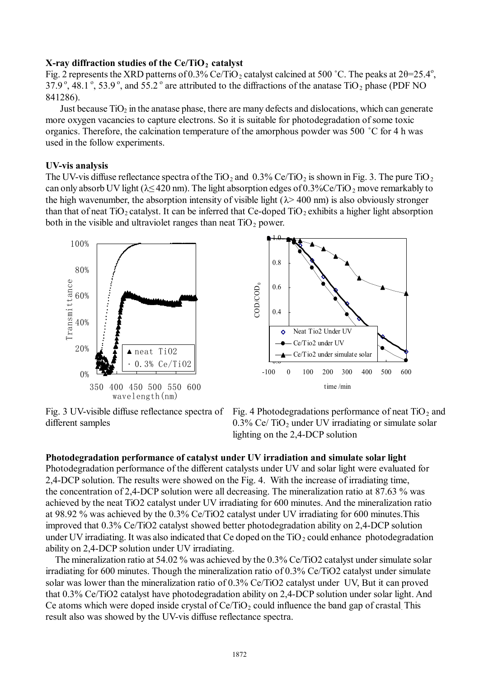#### **X-ray diffraction studies of the Ce/TiO2 catalyst**

Fig. 2 represents the XRD patterns of 0.3% Ce/TiO<sub>2</sub> catalyst calcined at 500 °C. The peaks at 2θ=25.4°,  $37.9^{\circ}$ ,  $48.1^{\circ}$ ,  $53.9^{\circ}$ , and  $55.2^{\circ}$  are attributed to the diffractions of the anatase TiO<sub>2</sub> phase (PDF NO) 841286).

Just because  $TiO<sub>2</sub>$  in the anatase phase, there are many defects and dislocations, which can generate more oxygen vacancies to capture electrons. So it is suitable for photodegradation of some toxic organics. Therefore, the calcination temperature of the amorphous powder was 500 ˚C for 4 h was used in the follow experiments.

#### **UV-vis analysis**

The UV-vis diffuse reflectance spectra of the TiO<sub>2</sub> and 0.3% Ce/TiO<sub>2</sub> is shown in Fig. 3. The pure TiO<sub>2</sub> can only absorb UV light ( $\lambda \leq 420$  nm). The light absorption edges of 0.3%Ce/TiO<sub>2</sub> move remarkably to the high wavenumber, the absorption intensity of visible light  $(\lambda > 400 \text{ nm})$  is also obviously stronger than that of neat  $TiO<sub>2</sub>$  catalyst. It can be inferred that Ce-doped  $TiO<sub>2</sub>$  exhibits a higher light absorption both in the visible and ultraviolet ranges than neat  $TiO<sub>2</sub>$  power.





Fig. 3 UV-visible diffuse reflectance spectra of different samples



### **Photodegradation performance of catalyst under UV irradiation and simulate solar light**

Photodegradation performance of the different catalysts under UV and solar light were evaluated for 2,4-DCP solution. The results were showed on the Fig. 4. With the increase of irradiating time, the concentration of 2,4-DCP solution were all decreasing. The mineralization ratio at 87.63 % was achieved by the neat TiO2 catalyst under UV irradiating for 600 minutes. And the mineralization ratio at 98.92 % was achieved by the 0.3% Ce/TiO2 catalyst under UV irradiating for 600 minutes.This improved that 0.3% Ce/TiO2 catalyst showed better photodegradation ability on 2,4-DCP solution under UV irradiating. It was also indicated that Ce doped on the  $TiO<sub>2</sub>$  could enhance photodegradation ability on 2,4-DCP solution under UV irradiating.

 The mineralization ratio at 54.02 % was achieved by the 0.3% Ce/TiO2 catalyst under simulate solar irradiating for 600 minutes. Though the mineralization ratio of 0.3% Ce/TiO2 catalyst under simulate solar was lower than the mineralization ratio of 0.3% Ce/TiO2 catalyst under UV, But it can proved that 0.3% Ce/TiO2 catalyst have photodegradation ability on 2,4-DCP solution under solar light. And Ce atoms which were doped inside crystal of  $Ce/TiO<sub>2</sub>$  could influence the band gap of crastal. This result also was showed by the UV-vis diffuse reflectance spectra.